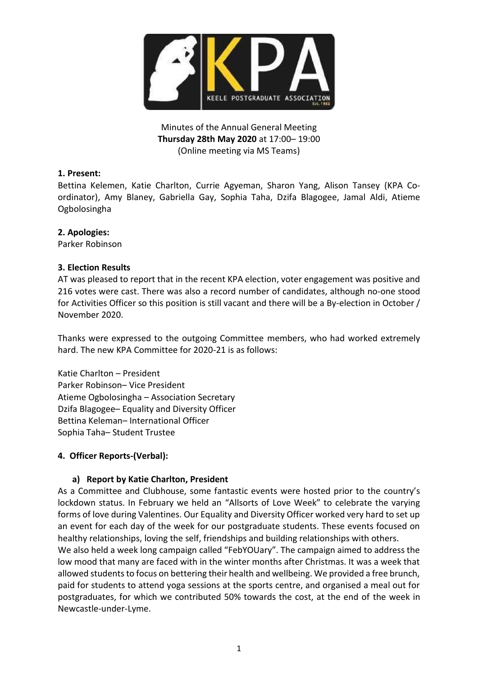

Minutes of the Annual General Meeting **Thursday 28th May 2020** at 17:00– 19:00 (Online meeting via MS Teams)

# **1. Present:**

Bettina Kelemen, Katie Charlton, Currie Agyeman, Sharon Yang, Alison Tansey (KPA Coordinator), Amy Blaney, Gabriella Gay, Sophia Taha, Dzifa Blagogee, Jamal Aldi, Atieme Ogbolosingha

# **2. Apologies:**

Parker Robinson

# **3. Election Results**

AT was pleased to report that in the recent KPA election, voter engagement was positive and 216 votes were cast. There was also a record number of candidates, although no-one stood for Activities Officer so this position is still vacant and there will be a By-election in October / November 2020.

Thanks were expressed to the outgoing Committee members, who had worked extremely hard. The new KPA Committee for 2020-21 is as follows:

Katie Charlton – President Parker Robinson– Vice President Atieme Ogbolosingha – Association Secretary Dzifa Blagogee– Equality and Diversity Officer Bettina Keleman– International Officer Sophia Taha– Student Trustee

# **4. Officer Reports-(Verbal):**

# **a) Report by Katie Charlton, President**

As a Committee and Clubhouse, some fantastic events were hosted prior to the country's lockdown status. In February we held an "Allsorts of Love Week" to celebrate the varying forms of love during Valentines. Our Equality and Diversity Officer worked very hard to set up an event for each day of the week for our postgraduate students. These events focused on healthy relationships, loving the self, friendships and building relationships with others.

We also held a week long campaign called "FebYOUary". The campaign aimed to address the low mood that many are faced with in the winter months after Christmas. It was a week that allowed students to focus on bettering their health and wellbeing. We provided a free brunch, paid for students to attend yoga sessions at the sports centre, and organised a meal out for postgraduates, for which we contributed 50% towards the cost, at the end of the week in Newcastle-under-Lyme.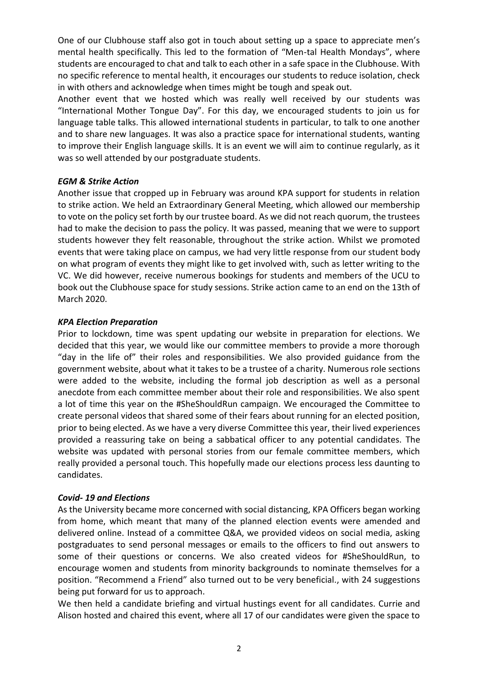One of our Clubhouse staff also got in touch about setting up a space to appreciate men's mental health specifically. This led to the formation of "Men-tal Health Mondays", where students are encouraged to chat and talk to each other in a safe space in the Clubhouse. With no specific reference to mental health, it encourages our students to reduce isolation, check in with others and acknowledge when times might be tough and speak out.

Another event that we hosted which was really well received by our students was "International Mother Tongue Day". For this day, we encouraged students to join us for language table talks. This allowed international students in particular, to talk to one another and to share new languages. It was also a practice space for international students, wanting to improve their English language skills. It is an event we will aim to continue regularly, as it was so well attended by our postgraduate students.

### *EGM & Strike Action*

Another issue that cropped up in February was around KPA support for students in relation to strike action. We held an Extraordinary General Meeting, which allowed our membership to vote on the policy set forth by our trustee board. As we did not reach quorum, the trustees had to make the decision to pass the policy. It was passed, meaning that we were to support students however they felt reasonable, throughout the strike action. Whilst we promoted events that were taking place on campus, we had very little response from our student body on what program of events they might like to get involved with, such as letter writing to the VC. We did however, receive numerous bookings for students and members of the UCU to book out the Clubhouse space for study sessions. Strike action came to an end on the 13th of March 2020.

### *KPA Election Preparation*

Prior to lockdown, time was spent updating our website in preparation for elections. We decided that this year, we would like our committee members to provide a more thorough "day in the life of" their roles and responsibilities. We also provided guidance from the government website, about what it takes to be a trustee of a charity. Numerous role sections were added to the website, including the formal job description as well as a personal anecdote from each committee member about their role and responsibilities. We also spent a lot of time this year on the #SheShouldRun campaign. We encouraged the Committee to create personal videos that shared some of their fears about running for an elected position, prior to being elected. As we have a very diverse Committee this year, their lived experiences provided a reassuring take on being a sabbatical officer to any potential candidates. The website was updated with personal stories from our female committee members, which really provided a personal touch. This hopefully made our elections process less daunting to candidates.

# *Covid- 19 and Elections*

As the University became more concerned with social distancing, KPA Officers began working from home, which meant that many of the planned election events were amended and delivered online. Instead of a committee Q&A, we provided videos on social media, asking postgraduates to send personal messages or emails to the officers to find out answers to some of their questions or concerns. We also created videos for #SheShouldRun, to encourage women and students from minority backgrounds to nominate themselves for a position. "Recommend a Friend" also turned out to be very beneficial., with 24 suggestions being put forward for us to approach.

We then held a candidate briefing and virtual hustings event for all candidates. Currie and Alison hosted and chaired this event, where all 17 of our candidates were given the space to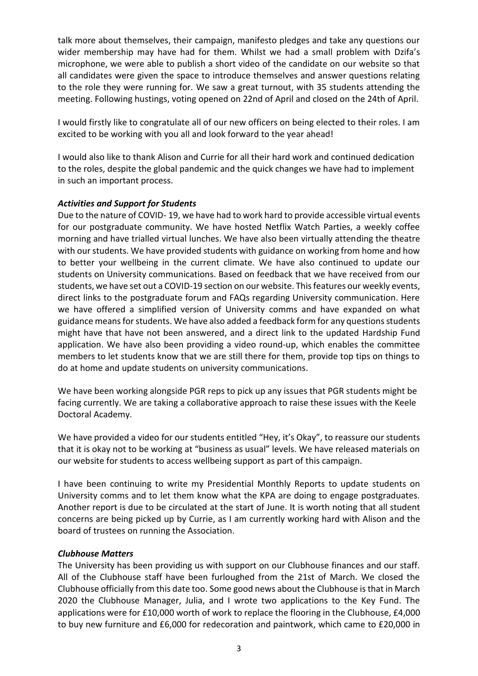talk more about themselves, their campaign, manifesto pledges and take any questions our wider membership may have had for them. Whilst we had a small problem with Dzifa's microphone, we were able to publish a short video of the candidate on our website so that all candidates were given the space to introduce themselves and answer questions relating to the role they were running for. We saw a great turnout, with 35 students attending the meeting. Following hustings, voting opened on 22nd of April and closed on the 24th of April.

I would firstly like to congratulate all of our new officers on being elected to their roles. I am excited to be working with you all and look forward to the year ahead!

I would also like to thank Alison and Currie for all their hard work and continued dedication to the roles, despite the global pandemic and the quick changes we have had to implement in such an important process.

### *Activities and Support for Students*

Due to the nature of COVID- 19, we have had to work hard to provide accessible virtual events for our postgraduate community. We have hosted Netflix Watch Parties, a weekly coffee morning and have trialled virtual lunches. We have also been virtually attending the theatre with our students. We have provided students with guidance on working from home and how to better your wellbeing in the current climate. We have also continued to update our students on University communications. Based on feedback that we have received from our students, we have set out a COVID-19 section on our website. This features our weekly events, direct links to the postgraduate forum and FAQs regarding University communication. Here we have offered a simplified version of University comms and have expanded on what guidance means for students. We have also added a feedback form for any questions students might have that have not been answered, and a direct link to the updated Hardship Fund application. We have also been providing a video round-up, which enables the committee members to let students know that we are still there for them, provide top tips on things to do at home and update students on university communications.

We have been working alongside PGR reps to pick up any issues that PGR students might be facing currently. We are taking a collaborative approach to raise these issues with the Keele Doctoral Academy.

We have provided a video for our students entitled "Hey, it's Okay", to reassure our students that it is okay not to be working at "business as usual" levels. We have released materials on our website for students to access wellbeing support as part of this campaign.

I have been continuing to write my Presidential Monthly Reports to update students on University comms and to let them know what the KPA are doing to engage postgraduates. Another report is due to be circulated at the start of June. It is worth noting that all student concerns are being picked up by Currie, as I am currently working hard with Alison and the board of trustees on running the Association.

#### *Clubhouse Matters*

The University has been providing us with support on our Clubhouse finances and our staff. All of the Clubhouse staff have been furloughed from the 21st of March. We closed the Clubhouse officially from this date too. Some good news about the Clubhouse is that in March 2020 the Clubhouse Manager, Julia, and I wrote two applications to the Key Fund. The applications were for £10,000 worth of work to replace the flooring in the Clubhouse, £4,000 to buy new furniture and £6,000 for redecoration and paintwork, which came to £20,000 in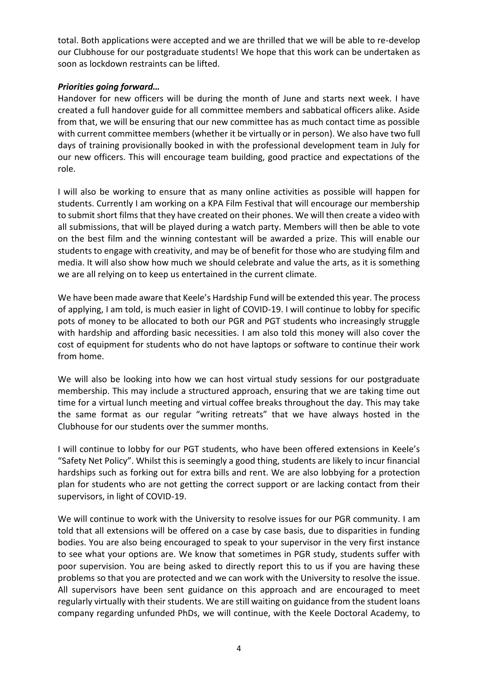total. Both applications were accepted and we are thrilled that we will be able to re-develop our Clubhouse for our postgraduate students! We hope that this work can be undertaken as soon as lockdown restraints can be lifted.

### *Priorities going forward…*

Handover for new officers will be during the month of June and starts next week. I have created a full handover guide for all committee members and sabbatical officers alike. Aside from that, we will be ensuring that our new committee has as much contact time as possible with current committee members (whether it be virtually or in person). We also have two full days of training provisionally booked in with the professional development team in July for our new officers. This will encourage team building, good practice and expectations of the role.

I will also be working to ensure that as many online activities as possible will happen for students. Currently I am working on a KPA Film Festival that will encourage our membership to submit short films that they have created on their phones. We will then create a video with all submissions, that will be played during a watch party. Members will then be able to vote on the best film and the winning contestant will be awarded a prize. This will enable our students to engage with creativity, and may be of benefit for those who are studying film and media. It will also show how much we should celebrate and value the arts, as it is something we are all relying on to keep us entertained in the current climate.

We have been made aware that Keele's Hardship Fund will be extended this year. The process of applying, I am told, is much easier in light of COVID-19. I will continue to lobby for specific pots of money to be allocated to both our PGR and PGT students who increasingly struggle with hardship and affording basic necessities. I am also told this money will also cover the cost of equipment for students who do not have laptops or software to continue their work from home.

We will also be looking into how we can host virtual study sessions for our postgraduate membership. This may include a structured approach, ensuring that we are taking time out time for a virtual lunch meeting and virtual coffee breaks throughout the day. This may take the same format as our regular "writing retreats" that we have always hosted in the Clubhouse for our students over the summer months.

I will continue to lobby for our PGT students, who have been offered extensions in Keele's "Safety Net Policy". Whilst this is seemingly a good thing, students are likely to incur financial hardships such as forking out for extra bills and rent. We are also lobbying for a protection plan for students who are not getting the correct support or are lacking contact from their supervisors, in light of COVID-19.

We will continue to work with the University to resolve issues for our PGR community. I am told that all extensions will be offered on a case by case basis, due to disparities in funding bodies. You are also being encouraged to speak to your supervisor in the very first instance to see what your options are. We know that sometimes in PGR study, students suffer with poor supervision. You are being asked to directly report this to us if you are having these problems so that you are protected and we can work with the University to resolve the issue. All supervisors have been sent guidance on this approach and are encouraged to meet regularly virtually with their students. We are still waiting on guidance from the student loans company regarding unfunded PhDs, we will continue, with the Keele Doctoral Academy, to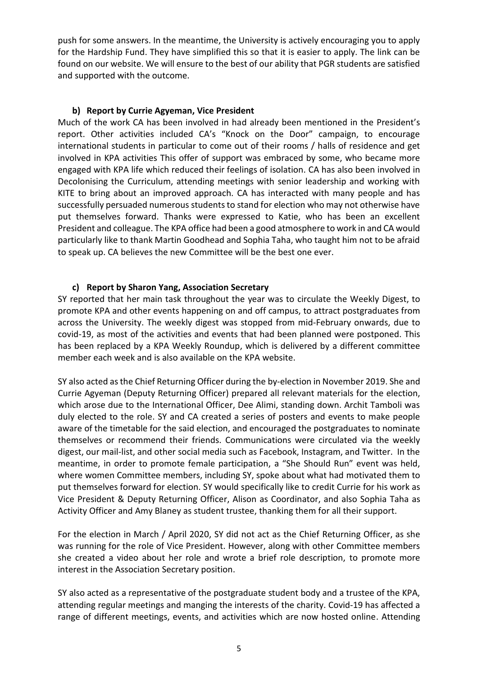push for some answers. In the meantime, the University is actively encouraging you to apply for the Hardship Fund. They have simplified this so that it is easier to apply. The link can be found on our website. We will ensure to the best of our ability that PGR students are satisfied and supported with the outcome.

#### **b) Report by Currie Agyeman, Vice President**

Much of the work CA has been involved in had already been mentioned in the President's report. Other activities included CA's "Knock on the Door" campaign, to encourage international students in particular to come out of their rooms / halls of residence and get involved in KPA activities This offer of support was embraced by some, who became more engaged with KPA life which reduced their feelings of isolation. CA has also been involved in Decolonising the Curriculum, attending meetings with senior leadership and working with KITE to bring about an improved approach. CA has interacted with many people and has successfully persuaded numerous students to stand for election who may not otherwise have put themselves forward. Thanks were expressed to Katie, who has been an excellent President and colleague. The KPA office had been a good atmosphere to work in and CA would particularly like to thank Martin Goodhead and Sophia Taha, who taught him not to be afraid to speak up. CA believes the new Committee will be the best one ever.

# **c) Report by Sharon Yang, Association Secretary**

SY reported that her main task throughout the year was to circulate the Weekly Digest, to promote KPA and other events happening on and off campus, to attract postgraduates from across the University. The weekly digest was stopped from mid-February onwards, due to covid-19, as most of the activities and events that had been planned were postponed. This has been replaced by a KPA Weekly Roundup, which is delivered by a different committee member each week and is also available on the KPA website.

SY also acted as the Chief Returning Officer during the by-election in November 2019. She and Currie Agyeman (Deputy Returning Officer) prepared all relevant materials for the election, which arose due to the International Officer, Dee Alimi, standing down. Archit Tamboli was duly elected to the role. SY and CA created a series of posters and events to make people aware of the timetable for the said election, and encouraged the postgraduates to nominate themselves or recommend their friends. Communications were circulated via the weekly digest, our mail-list, and other social media such as Facebook, Instagram, and Twitter. In the meantime, in order to promote female participation, a "She Should Run" event was held, where women Committee members, including SY, spoke about what had motivated them to put themselves forward for election. SY would specifically like to credit Currie for his work as Vice President & Deputy Returning Officer, Alison as Coordinator, and also Sophia Taha as Activity Officer and Amy Blaney as student trustee, thanking them for all their support.

For the election in March / April 2020, SY did not act as the Chief Returning Officer, as she was running for the role of Vice President. However, along with other Committee members she created a video about her role and wrote a brief role description, to promote more interest in the Association Secretary position.

SY also acted as a representative of the postgraduate student body and a trustee of the KPA, attending regular meetings and manging the interests of the charity. Covid-19 has affected a range of different meetings, events, and activities which are now hosted online. Attending